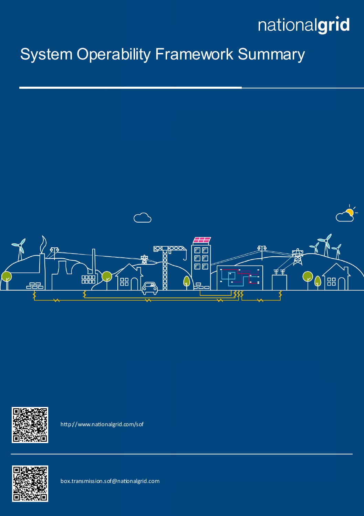### System Operability Framework Summary





http://www.nationalgrid.com/sof



box.transmission.sof@nationalgrid.com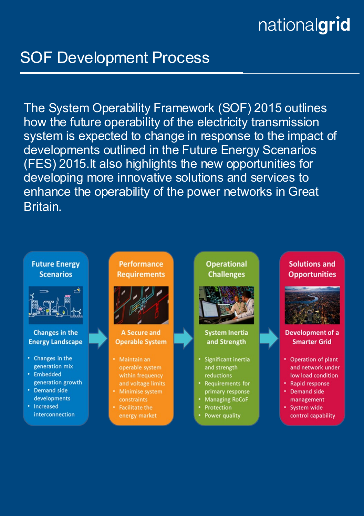### **SOF Development Process**

The System Operability Framework (SOF) 2015 outlines how the future operability of the electricity transmission system is expected to change in response to the impact of developments outlined in the Future Energy Scenarios (FES) 2015. It also highlights the new opportunities for developing more innovative solutions and services to enhance the operability of the power networks in Great **Britain** 

### **Future Energy Scenarios**



#### **Changes in the Energy Landscape**

- Changes in the generation mix
- Embedded generation growth
- Demand side developments
- Increased interconnection

**Performance Requirements** 



**A Secure and Operable System** 

- Maintain an operable system and voltage limits
- **Minimise system**
- **Facilitate the** energy market

**Operational Challenges** 



#### **System Inertia** and Strength

- Significant inertia and strength reductions
- Requirements for primary response
- **Managing RoCoF**
- Protection
- Power quality

### **Solutions and Opportunities**



#### **Development of a Smarter Grid**

- Operation of plant and network under low load condition
- Rapid response
- **Demand side** management
- System wide control capability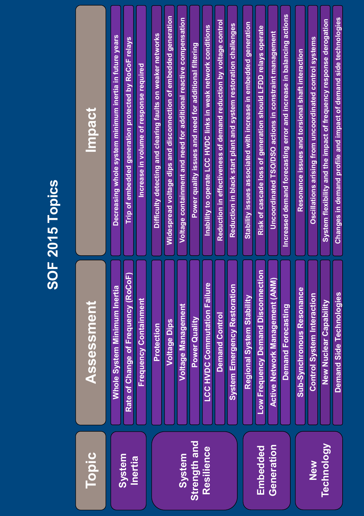|                                      |                                                                                                                                                                                    | <b>SOF 2015 Topics</b>                                                                                                                                                                                                                                                                                                                                                                                                                                                    |
|--------------------------------------|------------------------------------------------------------------------------------------------------------------------------------------------------------------------------------|---------------------------------------------------------------------------------------------------------------------------------------------------------------------------------------------------------------------------------------------------------------------------------------------------------------------------------------------------------------------------------------------------------------------------------------------------------------------------|
| Topic                                | Assessment                                                                                                                                                                         | Impact                                                                                                                                                                                                                                                                                                                                                                                                                                                                    |
| System<br>Inertia                    | of Change of Frequency (RoCoF)<br>hole System Minimum Inertia<br><b>Frequency Containment</b><br>Rate                                                                              | Decreasing whole system minimum inertia in future years<br>Trip of embedded generation protected by RoCoF relays<br>Increase in volume of response required                                                                                                                                                                                                                                                                                                               |
| Strength and<br>Resilience<br>System | <b>LCC HVDC Commutation Failure</b><br>stem Emergency Restoration<br>Voltage Management<br><b>Demand Control</b><br>Power Quality<br><b>Voltage Dips</b><br>Protection<br>$\delta$ | Widespread voltage dips and disconnection of embedded generation<br>Voltage containment and need for additional reactive compensation<br>Reduction in effectiveness of demand reduction by voltage control<br>Reduction in black start plant and system restoration challenges<br>Inability to operate LCC HVDC links in weak network conditions<br>Difficulty detecting and clearing faults on weaker networks<br>Power quality issues and need for additional filtering |
| Generation<br>Embedded               | requency Demand Disconnection<br>ve Network Management (ANM)<br>Regional System Stability<br>Demand Forecasting<br>Low F<br>Activ                                                  | Increased demand forecasting error and increase in balancing actions<br>Stability issues associated with increase in embedded generation<br>Risk of cascade loss of generation should LFDD relays operate<br>Uncoordinated TSO/DSO actions in constraint management                                                                                                                                                                                                       |
| Technology<br>New                    | ub-Synchronous Resonance<br>Demand Side Technologies<br><b>Control System Interaction</b><br><b>New Nuclear Capability</b><br>Ø                                                    | Changes in demand profile and impact of demand side technologies<br>System flexibility and the impact of frequency response derogation<br>Oscillations arising from uncoordinated control systems<br>Resonance issues and torsional shaft interaction                                                                                                                                                                                                                     |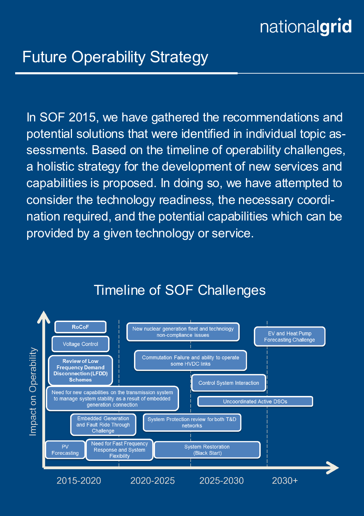In SOF 2015, we have gathered the recommendations and potential solutions that were identified in individual topic assessments. Based on the timeline of operability challenges, a holistic strategy for the development of new services and capabilities is proposed. In doing so, we have attempted to consider the technology readiness, the necessary coordination required, and the potential capabilities which can be provided by a given technology or service.



### Timeline of SOF Challenges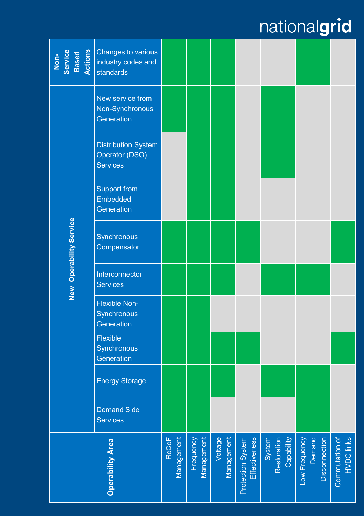| Non-<br>Service<br>Based<br>Actions | Changes to various<br>industry codes and<br>standards           |                            |                         |                       |                                    |                                     |                                          |                                     |
|-------------------------------------|-----------------------------------------------------------------|----------------------------|-------------------------|-----------------------|------------------------------------|-------------------------------------|------------------------------------------|-------------------------------------|
|                                     | New service from<br>Non-Synchronous<br>Generation               |                            |                         |                       |                                    |                                     |                                          |                                     |
|                                     | <b>Distribution System</b><br>Operator (DSO)<br><b>Services</b> |                            |                         |                       |                                    |                                     |                                          |                                     |
| New Operability Service             | Support from<br>Embedded<br>Generation                          |                            |                         |                       |                                    |                                     |                                          |                                     |
|                                     | Synchronous<br>Compensator                                      |                            |                         |                       |                                    |                                     |                                          |                                     |
|                                     | Interconnector<br><b>Services</b>                               |                            |                         |                       |                                    |                                     |                                          |                                     |
|                                     | <b>Flexible Non-</b><br>Synchronous<br>Generation               |                            |                         |                       |                                    |                                     |                                          |                                     |
|                                     | Flexible<br>Synchronous<br>Generation                           |                            |                         |                       |                                    |                                     |                                          |                                     |
|                                     | <b>Energy Storage</b>                                           |                            |                         |                       |                                    |                                     |                                          |                                     |
|                                     | <b>Demand Side</b><br><b>Services</b>                           |                            |                         |                       |                                    |                                     |                                          |                                     |
| <b>Operability Area</b>             |                                                                 | <b>RoCoF</b><br>Management | Frequency<br>Management | Voltage<br>Management | Effectiveness<br>Protection System | Capability<br>System<br>Restoration | Disconnection<br>Demand<br>Low Frequency | <b>HVDC links</b><br>Commutation of |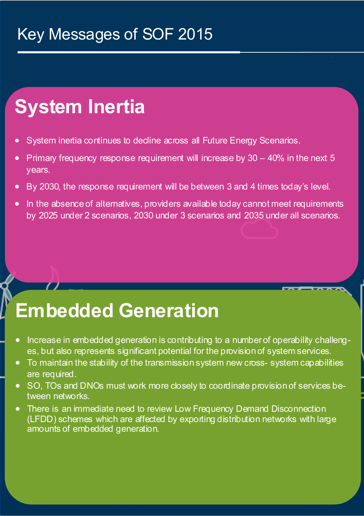### Key Messages of SOF 2015

## **System Inertia**

- System inertia continues to decline across all Future Energy Scenarios.
- Primary frequency response requirement will increase by  $30 40\%$  in the next 5 years.
- By 2030, the response requirement will be between 3 and 4 times today's level.
- In the absence of alternatives, providers available today cannot meet requirements by 2025 under 2 scenarios, 2030 under 3 scenarios and 2035 under all scenarios.

### **Embedded Generation**

- Increase in embedded generation is contributing to a number of operability challenges, but also represents significant potential for the provision of system services.
- To maintain the stability of the transmission system new cross- system capabilities are required.
- SO, TOs and DNOs must work more closely to coordinate provision of services between networks.
- There is an immediate need to review Low Frequency Demand Disconnection (LFDD) schemes which are affected by exporting distribution networks with large amounts of embedded generation.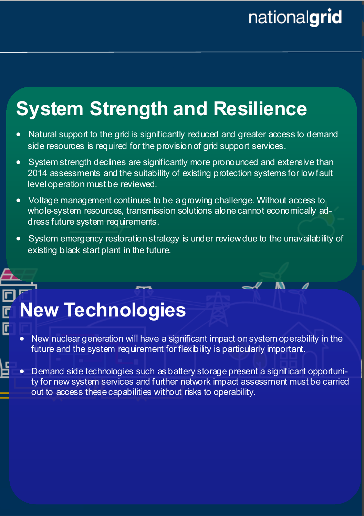M

## **System Strength and Resilience**

- Natural support to the grid is significantly reduced and greater access to demand side resources is required for the provision of grid support services.
- System strength declines are significantly more pronounced and extensive than 2014 assessments and the suitability of existing protection systems for low fault level operation must be reviewed.
- Voltage management continues to be a growing challenge. Without access to whole-system resources, transmission solutions alone cannot economically address future system requirements.
- System emergency restoration strategy is under review due to the unavailability of existing black start plant in the future.

## **New Technologies**

 $\overline{\mathsf{F}}$ 

- New nuclear generation will have a significant impact on system operability in the future and the system requirement for flexibility is particularly important.
- Demand side technologies such as battery storage present a significant opportunity for new system services and further network impact assessment must be carried out to access these capabilities without risks to operability.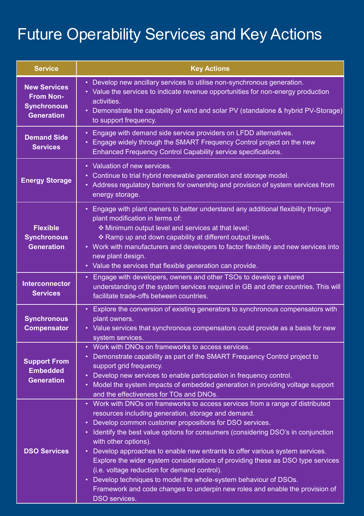### Future Operability Services and Key Actions

| <b>Service</b>                                                                     | <b>Key Actions</b>                                                                                                                                                                                                                                                                                                                                                                                                                                                                                                                                                                                                                                                                                             |
|------------------------------------------------------------------------------------|----------------------------------------------------------------------------------------------------------------------------------------------------------------------------------------------------------------------------------------------------------------------------------------------------------------------------------------------------------------------------------------------------------------------------------------------------------------------------------------------------------------------------------------------------------------------------------------------------------------------------------------------------------------------------------------------------------------|
| <b>New Services</b><br><b>From Non-</b><br><b>Synchronous</b><br><b>Generation</b> | • Develop new ancillary services to utilise non-synchronous generation.<br>• Value the services to indicate revenue opportunities for non-energy production<br>activities.<br>• Demonstrate the capability of wind and solar PV (standalone & hybrid PV-Storage)<br>to support frequency.                                                                                                                                                                                                                                                                                                                                                                                                                      |
| <b>Demand Side</b><br><b>Services</b>                                              | • Engage with demand side service providers on LFDD alternatives.<br>• Engage widely through the SMART Frequency Control project on the new<br>Enhanced Frequency Control Capability service specifications.                                                                                                                                                                                                                                                                                                                                                                                                                                                                                                   |
| <b>Energy Storage</b>                                                              | • Valuation of new services.<br>• Continue to trial hybrid renewable generation and storage model.<br>• Address regulatory barriers for ownership and provision of system services from<br>energy storage.                                                                                                                                                                                                                                                                                                                                                                                                                                                                                                     |
| <b>Flexible</b><br><b>Synchronous</b><br><b>Generation</b>                         | • Engage with plant owners to better understand any additional flexibility through<br>plant modification in terms of:<br>❖ Minimum output level and services at that level;<br>❖ Ramp up and down capability at different output levels.<br>• Work with manufacturers and developers to factor flexibility and new services into<br>new plant design.<br>• Value the services that flexible generation can provide.                                                                                                                                                                                                                                                                                            |
| <b>Interconnector</b><br><b>Services</b>                                           | • Engage with developers, owners and other TSOs to develop a shared<br>understanding of the system services required in GB and other countries. This will<br>facilitate trade-offs between countries.                                                                                                                                                                                                                                                                                                                                                                                                                                                                                                          |
| <b>Synchronous</b><br><b>Compensator</b>                                           | • Explore the conversion of existing generators to synchronous compensators with<br>plant owners.<br>• Value services that synchronous compensators could provide as a basis for new<br>system services.                                                                                                                                                                                                                                                                                                                                                                                                                                                                                                       |
| <b>Support From</b><br><b>Embedded</b><br><b>Generation</b>                        | • Work with DNOs on frameworks to access services.<br>• Demonstrate capability as part of the SMART Frequency Control project to<br>support grid frequency.<br>• Develop new services to enable participation in frequency control.<br>• Model the system impacts of embedded generation in providing voltage support<br>and the effectiveness for TOs and DNOs.                                                                                                                                                                                                                                                                                                                                               |
| <b>DSO Services</b>                                                                | • Work with DNOs on frameworks to access services from a range of distributed<br>resources including generation, storage and demand.<br>• Develop common customer propositions for DSO services.<br>• Identify the best value options for consumers (considering DSO's in conjunction<br>with other options).<br>• Develop approaches to enable new entrants to offer various system services.<br>Explore the wider system considerations of providing these as DSO type services<br>(i.e. voltage reduction for demand control).<br>• Develop techniques to model the whole-system behaviour of DSOs.<br>Framework and code changes to underpin new roles and enable the provision of<br><b>DSO</b> services. |